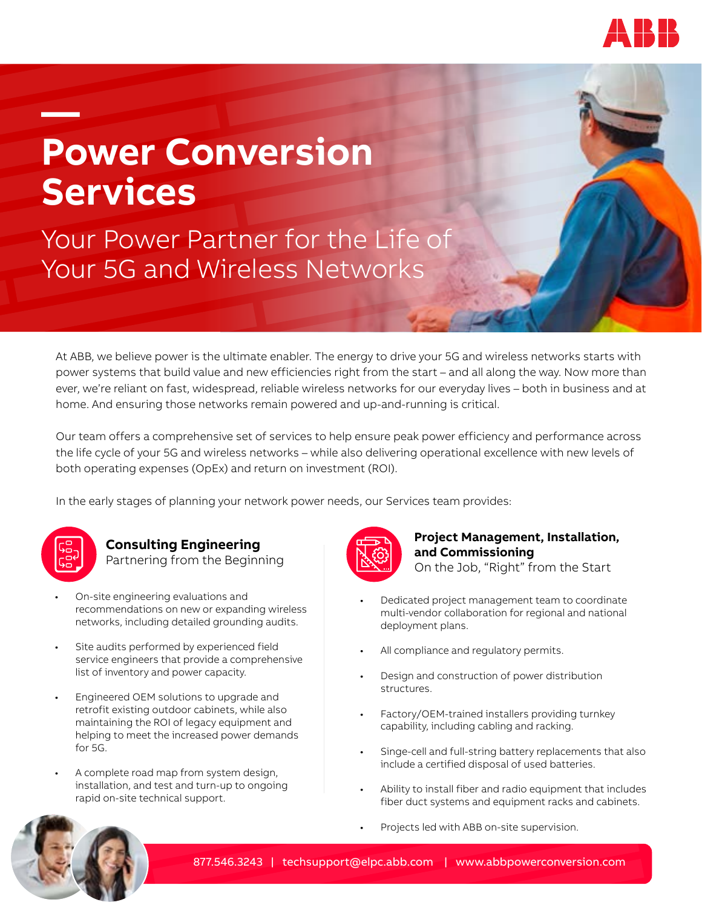

# **— Power Conversion Services**

Your Power Partner for the Life of Your 5G and Wireless Networks

At ABB, we believe power is the ultimate enabler. The energy to drive your 5G and wireless networks starts with power systems that build value and new efficiencies right from the start – and all along the way. Now more than ever, we're reliant on fast, widespread, reliable wireless networks for our everyday lives – both in business and at home. And ensuring those networks remain powered and up-and-running is critical.

Our team offers a comprehensive set of services to help ensure peak power efficiency and performance across the life cycle of your 5G and wireless networks – while also delivering operational excellence with new levels of both operating expenses (OpEx) and return on investment (ROI).

In the early stages of planning your network power needs, our Services team provides:



#### **Consulting Engineering**  Partnering from the Beginning

- On-site engineering evaluations and recommendations on new or expanding wireless networks, including detailed grounding audits.
- Site audits performed by experienced field service engineers that provide a comprehensive list of inventory and power capacity.
- Engineered OEM solutions to upgrade and retrofit existing outdoor cabinets, while also maintaining the ROI of legacy equipment and helping to meet the increased power demands for 5G.
	- A complete road map from system design, installation, and test and turn-up to ongoing rapid on-site technical support.



## **Project Management, Installation, and Commissioning**

On the Job, "Right" from the Start

- Dedicated project management team to coordinate multi-vendor collaboration for regional and national deployment plans.
- All compliance and regulatory permits.
- Design and construction of power distribution structures.
- Factory/OEM-trained installers providing turnkey capability, including cabling and racking.
- Singe-cell and full-string battery replacements that also include a certified disposal of used batteries.
- Ability to install fiber and radio equipment that includes fiber duct systems and equipment racks and cabinets.
- Projects led with ABB on-site supervision.